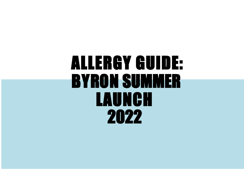## ALLERGY GUIDE: BYRON SUMMER LAUNCH 2022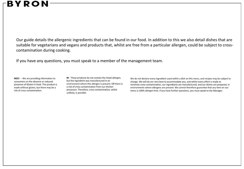## **BYRON**

Our guide details the allergenic ingredients that can be found in our food. In addition to this we also detail dishes that are suitable for vegetarians and vegans and products that, whilst are free from a particular allergen, could be subject to crosscontamination during cooking.

If you have any questions, you must speak to a member of the management team.

**NGCI** - - We are providing information to consumers on the absence or reduced presence of Gluten in food. This product is made without gluten, but there may be a risk of cross contamination.

**M** - These products do not contain the listed allergen, but the ingredient was manufactured in an environment where this allergen is present. OR there is a risk of cross contamination from our kitchen processes. Therefore, cross-contamination, whilst unlikely, is possible.

We do not declare every ingredient used within a dish on this menu, and recipes may be subject to change. We will do our very best to accommodate you, and whilst every effort is made to minimise cross-contamination, our ingredients are manufactured, and our dishes are prepared, in environments where allergens are present. We cannot therefore guarantee that any item on our menu is 100% allergen-free. If you have further questions, you must speak to the Manager.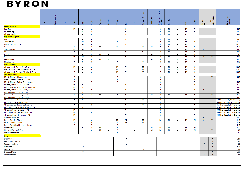## $\mathsf{F}\mathbf{B}\mathbf{Y}\mathbf{R}\mathbf{O}\mathbf{N}$

|                                                                              |      | ă      |           |              |        |              |         |   |              |          |      | Dioxide |                     | containing           |               |     |     |        |                                     |                            |                              |
|------------------------------------------------------------------------------|------|--------|-----------|--------------|--------|--------------|---------|---|--------------|----------|------|---------|---------------------|----------------------|---------------|-----|-----|--------|-------------------------------------|----------------------------|------------------------------|
|                                                                              | Fish | Crusta | Violluscs | Milk         | 鷗      | Soya         | Peanuts |   | istar<br>š   | Celery   | iqui | Sulphur | <b>Nuts</b><br>Tree | 쓺<br>Gluten<br>-cere | <b>BARLEY</b> | DAT | RYE | WHEAT  | $\mathfrak{S}$<br>Suitable<br>VEGAN | Suitable for<br>VEGETARIAN | Calories per<br>Serving      |
| <b>Classic Burgers</b>                                                       |      |        |           |              |        |              |         |   |              |          |      |         |                     |                      |               |     |     |        |                                     |                            |                              |
| <b>Beef Burger</b>                                                           |      |        |           | M            | v      | м            |         |   |              | Y        |      |         |                     | Y                    | M             | M   | M   | Y      |                                     |                            | 650                          |
| Cheeseburger                                                                 |      |        |           | Y            | Y      | M            |         |   |              | Y        |      |         |                     | Y                    | M             | M   | M   | Y      |                                     |                            | 720                          |
| <b>Classic Chicken</b>                                                       |      |        |           | Y            | Y      | М            |         |   |              | Y        |      | Y       |                     | Y                    | M             | M   | M   | Y      |                                     |                            | 695                          |
| <b>Signature Burgers</b>                                                     |      |        |           |              |        |              |         |   |              |          |      |         |                     |                      |               |     |     |        |                                     |                            |                              |
| Byron                                                                        |      |        |           | Y            | Y      | M            |         |   |              | Y        |      |         |                     | Y                    | M             | M   | M   | Y      |                                     |                            | 680                          |
| The Smokey                                                                   |      |        |           | Y            | M      | Y            |         |   | Y            |          |      | Y       |                     | Y                    | M             | M   | M   | Y      |                                     |                            | 750                          |
| <b>Double Bacon Cheese</b>                                                   |      |        |           | Y            | M      | М            |         |   | Y            | Y        |      |         |                     | Y                    | M             | M   | M   | Y      |                                     |                            | 1070                         |
| <b>B-Rex</b>                                                                 |      |        |           | Y            | Y      | Y            | M       | M | Y            |          |      | Y       | М                   | Y                    | Y             | M   | M   | Y      |                                     |                            | 950                          |
| <b>The Plantastic</b>                                                        |      |        |           | M            | M      | M            |         |   |              |          |      |         |                     | $\mathbf{Y}$         | M             | M   | M   | Y      | Y                                   | $\mathbf{Y}$               | 550                          |
| Clucky                                                                       |      |        |           | $\mathbf{Y}$ | Y      | M            |         |   |              | Y        |      | Y       |                     | Y                    | M             | M   | M   | Y      |                                     |                            | 720                          |
| C-Rex                                                                        |      |        |           | Y            | Y      | Y            | M       | M | Y            | Y        |      | Y       | M                   | Y                    | Y             | M   | M   | Y      |                                     |                            | 780                          |
| V-Rex                                                                        |      |        |           | M            | M      | Y            |         |   |              | Y        |      |         |                     | Y                    | M             | M   | M   | Y      | $\mathbf{Y}$                        | $\mathbf{Y}$               | 840                          |
| <b>Easy Cheesy</b>                                                           |      |        |           | Y            | Y      | Y            | M       | M | Y            | Y        |      | Y       | М                   | Υ                    | Y             | M   | M   | Y      |                                     | $\mathbf{Y}$               | 840                          |
| Elizabeefan                                                                  |      |        |           | $\mathbf{Y}$ | Y      | Y            |         |   | Y            |          |      | Y       |                     | Y                    | M             | M   | M   | Y      |                                     |                            | 840                          |
| <b>Lunch Burgers</b>                                                         |      |        |           |              |        |              |         |   |              |          |      |         |                     |                      |               |     |     |        |                                     |                            |                              |
| Classic Lunch Burger With Fries                                              |      |        |           | M            | Y      | М            |         |   | M            | Y        |      | M       |                     | Y                    | M             | M   | M   | Y      |                                     |                            | 1030                         |
| Classic Lunch Cheeseburger With Fries                                        |      |        |           | $\mathbf{Y}$ | Y      | M            |         |   | M            | Y        |      | M       |                     | Y                    | M             | M   | M   | Y      |                                     |                            | 1100                         |
| Classic Lunch Chicken Fried With Fries                                       |      |        |           | Y            | Y      | M            |         |   | M            | Y        |      | Y       |                     | Y                    | M             | M   | M   | Y      |                                     |                            | 1085                         |
| <b>Starters &amp; Sides</b>                                                  |      |        |           |              |        |              |         |   |              |          |      |         |                     |                      |               |     |     |        |                                     |                            |                              |
| Mac & Cheese - Classic - Single                                              |      |        |           | Y            |        |              |         |   | Y            |          |      |         |                     | Y                    |               |     |     | Y      |                                     | $\mathbf{Y}$               | 555                          |
| Mac & Cheese - Classic - Sharer                                              |      |        |           | $\mathbf{Y}$ |        |              |         |   | Y            |          |      |         |                     | Y                    |               |     |     | Y      |                                     | Y                          | 555                          |
| Mac & Cheese - Pulled Beef - Sharer                                          |      |        |           | $\mathbf{Y}$ |        | $\mathbf{Y}$ |         |   | Y            |          |      |         |                     | Y                    |               |     |     | Y      |                                     |                            | 600                          |
| Crunchy Onion Rings - Classic                                                |      |        |           | M            | Y      |              |         |   |              | Y        |      |         |                     | Y                    |               |     |     | Y      |                                     | $\mathbf{Y}$               | 950                          |
| Crunchy Onion Rings - Sriracha Mayo                                          |      |        |           | M            | Y      |              |         |   |              | Y        |      |         |                     | Υ                    |               |     |     | Y      |                                     | $\mathbf{Y}$               | 995                          |
| Crunchy Onion Rings - Smoky BBQ                                              |      |        |           | M            |        | Y            |         |   |              | Y        |      |         |                     | Y                    |               |     |     | Y      | Y                                   | Y                          | 885                          |
| Halloumi Fries - Classic - Single                                            |      |        |           | Y            | Y      |              |         |   |              | Y        |      |         |                     | Υ                    |               |     |     | Y      |                                     | Y                          | 440                          |
| Halloumi Fries - Indulgent - Sharer                                          |      |        |           | Y<br>Y       | Y<br>Y | М            | M       | M | Y            | Y<br>Y   | М    |         | M                   | Y<br>Y               | M             | M   | M   | Y<br>Y |                                     | $\mathbf Y$<br>$\mathbf Y$ | 315<br>300                   |
| Halloumi Fries - Classic - Sharer<br>Chicken Strips - Classic x 3/5          |      |        |           | Y            | Y      |              |         |   |              | Y        |      | Y       |                     | Y                    |               |     |     | Y      |                                     |                            | 530 Individual /400 Sharing  |
| Chicken Strips - Cheesy x 3/5                                                |      |        |           | $\mathbf{Y}$ |        |              |         |   | $\mathbf{Y}$ | Y        |      | Y       |                     | Y                    |               |     |     | Y      |                                     |                            | 450 Individual / 365 Sharing |
|                                                                              |      |        |           | Y            |        | Y            |         |   |              | Y        |      | Y       |                     | Y                    |               |     |     | Y      |                                     |                            | 465 Individual / 370 Sharing |
| Chicken Strips - Smoky BBQ x 3 / 5<br>Chicken Strips - Sriracha Mayo x 3 / 5 |      |        |           | Y            | Y      |              |         |   |              | Y        |      | Y       |                     | Y                    |               |     |     | Y      |                                     |                            | 575 Individual / 435 Sharing |
| Chicken Wings - Classic x 4 / 6                                              |      |        |           | M            |        |              |         |   |              | Y        |      |         |                     | Y                    |               |     |     | Y      |                                     |                            | 330 Individual / 240 sharing |
| Chicken Wings - Smoky BBQ x 4 / 6                                            |      |        |           | М            |        | Y            |         |   |              | Y        |      |         |                     | Y                    |               |     |     | Y      |                                     |                            | 335 Individual / 250 Sharin  |
| Chicken Wings - Sriracha x 4 / 6                                             |      |        |           | M            |        |              |         |   |              | Y        |      |         |                     | Y                    |               |     |     | Y      |                                     |                            | 340 Individual / 245 Sharing |
| <b>Sweet Potato Fries</b>                                                    |      |        |           |              |        |              |         |   |              |          |      |         |                     |                      |               |     |     |        | Y                                   | Y                          | 340                          |
| Fries - Classic - Single                                                     |      |        |           | M            |        | M            |         |   | M            | M        |      | M       |                     | M                    | M             | M   | M   | M      | Y                                   | Y                          | 415                          |
| Fries - Cheese - Single                                                      |      |        |           | $\mathbf{Y}$ |        | М            |         |   | Y            | M        |      | M       |                     |                      |               |     |     |        |                                     | Y                          | 535                          |
| Fries - Pulled Beef Loaded - Sharer                                          |      |        |           | $\mathbf{Y}$ |        | Y            |         |   | Y            |          |      |         |                     |                      |               |     |     |        |                                     |                            | 620                          |
| <b>Byron Slaw</b>                                                            |      |        |           |              | Y      | М            | M       | M | Y            |          | М    |         | M                   | M                    | M             | M   | M   | M      |                                     | $\mathbf{Y}$               | 215                          |
| Stir-fried Greens & Glory                                                    |      |        |           |              |        | M            | M       | M | Y            |          | M    |         | M                   | M                    | M             | M   | M   | M      |                                     | Y                          | 80                           |
| Fresh Green Salad                                                            |      |        |           |              |        |              |         |   | Y            |          |      |         |                     |                      |               |     |     |        |                                     | Y                          | 85                           |
|                                                                              |      |        |           |              |        |              |         |   |              |          |      |         |                     |                      |               |     |     |        |                                     |                            |                              |
| <b>Dips</b>                                                                  |      |        |           |              |        |              |         |   |              |          |      |         |                     |                      |               |     |     |        |                                     | Y                          |                              |
| <b>Byron Sauce</b>                                                           |      |        |           |              | Y      |              |         |   |              | Y        |      |         |                     |                      |               |     |     |        | $\mathbf{Y}$                        | Y                          | 120<br>140                   |
| <b>Vegan Byron Sauce</b>                                                     |      |        |           |              |        |              |         |   |              |          |      |         |                     |                      |               |     |     |        |                                     |                            |                              |
| <b>Tomato Ketchup</b>                                                        |      |        |           |              |        |              |         |   |              | <b>Y</b> |      |         |                     |                      |               |     |     |        | Y                                   | Y                          | 30                           |
| Mayonnaise                                                                   |      |        |           |              | Y      |              |         |   |              |          |      |         |                     |                      |               |     |     |        |                                     | Y                          | 210                          |
| <b>BBQ</b> Sauce                                                             |      |        |           |              |        | Y            |         |   | Y            |          |      | Y       |                     |                      |               |     |     |        | $\mathbf{Y}$                        | Y                          | 55                           |
| Sriracha Mayo                                                                |      |        |           |              | Y      |              |         |   |              |          |      |         |                     |                      |               |     |     |        |                                     | Y                          | 165                          |
| Sriracha Sauce                                                               |      |        |           |              |        |              |         |   |              |          |      |         |                     |                      |               |     |     |        | Y                                   | Y                          | 28                           |
|                                                                              |      |        |           |              |        |              |         |   |              |          |      |         |                     |                      |               |     |     |        |                                     |                            |                              |